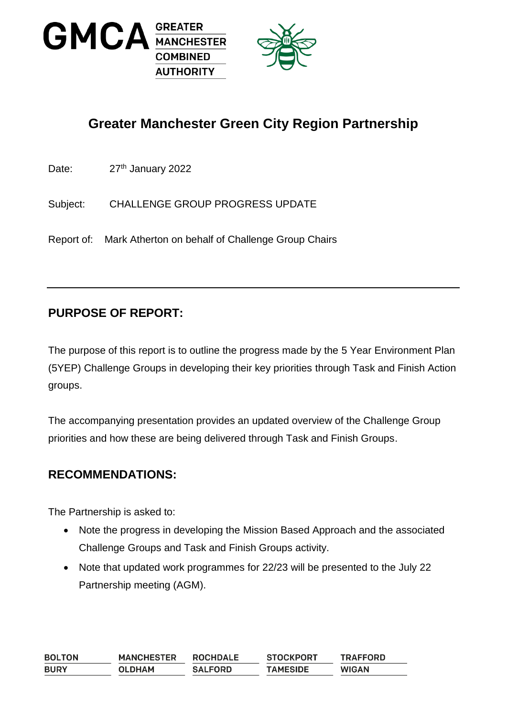



# **Greater Manchester Green City Region Partnership**

Date: 27<sup>th</sup> January 2022

Subject: CHALLENGE GROUP PROGRESS UPDATE

Report of: Mark Atherton on behalf of Challenge Group Chairs

# **PURPOSE OF REPORT:**

The purpose of this report is to outline the progress made by the 5 Year Environment Plan (5YEP) Challenge Groups in developing their key priorities through Task and Finish Action groups.

The accompanying presentation provides an updated overview of the Challenge Group priorities and how these are being delivered through Task and Finish Groups.

### **RECOMMENDATIONS:**

The Partnership is asked to:

- Note the progress in developing the Mission Based Approach and the associated Challenge Groups and Task and Finish Groups activity.
- Note that updated work programmes for 22/23 will be presented to the July 22 Partnership meeting (AGM).

| <b>BOLTON</b> | <b>MANCHESTER</b> | <b>ROCHDALE</b> | <b>STOCKPORT</b> | <b>TRAFFORD</b> |
|---------------|-------------------|-----------------|------------------|-----------------|
| <b>BURY</b>   | <b>OLDHAM</b>     | <b>SALFORD</b>  | <b>TAMESIDE</b>  | <b>WIGAN</b>    |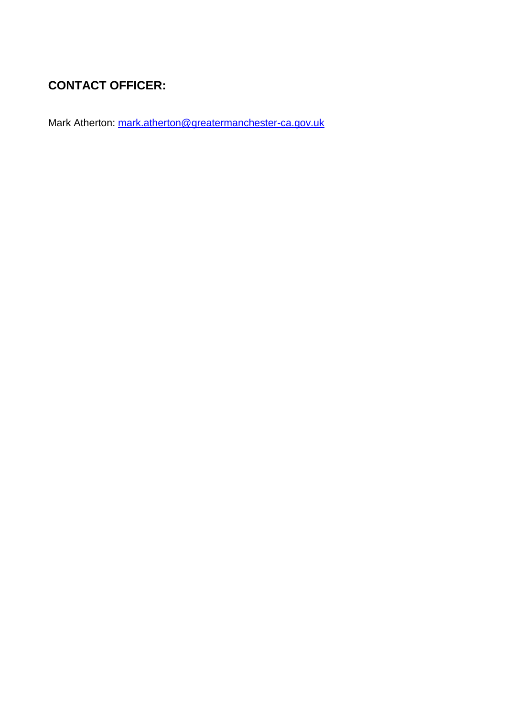# **CONTACT OFFICER:**

Mark Atherton: [mark.atherton@greatermanchester-ca.gov.uk](mailto:mark.atherton@greatermanchester-ca.gov.uk)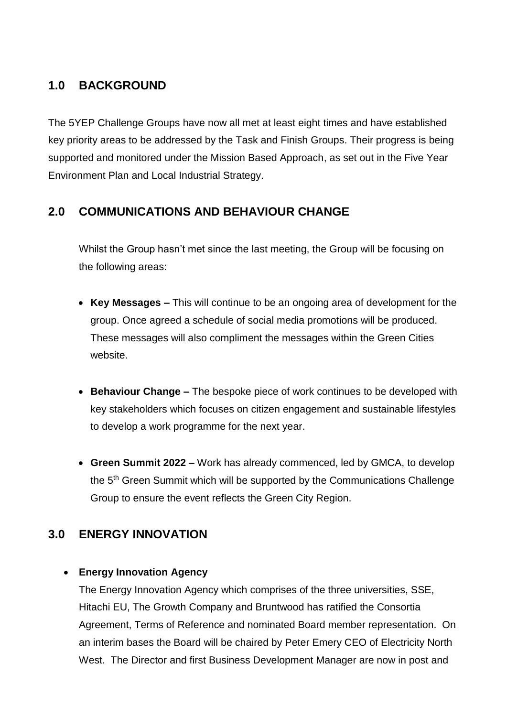# **1.0 BACKGROUND**

The 5YEP Challenge Groups have now all met at least eight times and have established key priority areas to be addressed by the Task and Finish Groups. Their progress is being supported and monitored under the Mission Based Approach, as set out in the Five Year Environment Plan and Local Industrial Strategy.

### **2.0 COMMUNICATIONS AND BEHAVIOUR CHANGE**

Whilst the Group hasn't met since the last meeting, the Group will be focusing on the following areas:

- **Key Messages –** This will continue to be an ongoing area of development for the group. Once agreed a schedule of social media promotions will be produced. These messages will also compliment the messages within the Green Cities website.
- **Behaviour Change –** The bespoke piece of work continues to be developed with key stakeholders which focuses on citizen engagement and sustainable lifestyles to develop a work programme for the next year.
- **Green Summit 2022 –** Work has already commenced, led by GMCA, to develop the 5<sup>th</sup> Green Summit which will be supported by the Communications Challenge Group to ensure the event reflects the Green City Region.

### **3.0 ENERGY INNOVATION**

#### **Energy Innovation Agency**

The Energy Innovation Agency which comprises of the three universities, SSE, Hitachi EU, The Growth Company and Bruntwood has ratified the Consortia Agreement, Terms of Reference and nominated Board member representation. On an interim bases the Board will be chaired by Peter Emery CEO of Electricity North West. The Director and first Business Development Manager are now in post and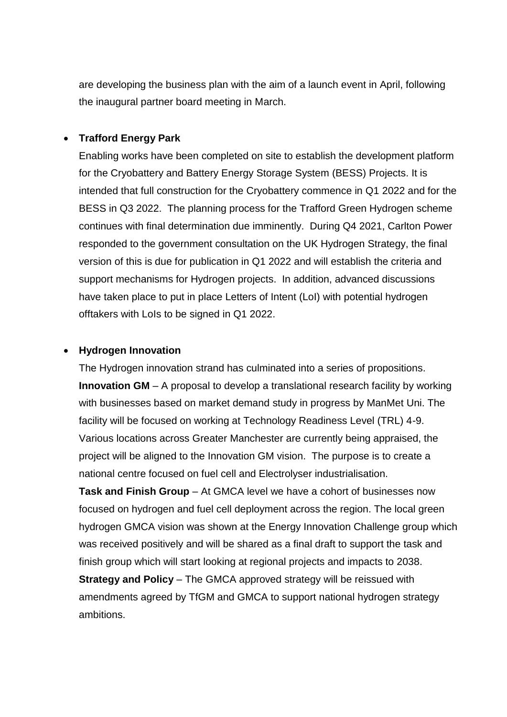are developing the business plan with the aim of a launch event in April, following the inaugural partner board meeting in March.

#### **Trafford Energy Park**

Enabling works have been completed on site to establish the development platform for the Cryobattery and Battery Energy Storage System (BESS) Projects. It is intended that full construction for the Cryobattery commence in Q1 2022 and for the BESS in Q3 2022. The planning process for the Trafford Green Hydrogen scheme continues with final determination due imminently. During Q4 2021, Carlton Power responded to the government consultation on the UK Hydrogen Strategy, the final version of this is due for publication in Q1 2022 and will establish the criteria and support mechanisms for Hydrogen projects. In addition, advanced discussions have taken place to put in place Letters of Intent (LoI) with potential hydrogen offtakers with LoIs to be signed in Q1 2022.

#### **Hydrogen Innovation**

The Hydrogen innovation strand has culminated into a series of propositions. **Innovation GM** – A proposal to develop a translational research facility by working with businesses based on market demand study in progress by ManMet Uni. The facility will be focused on working at Technology Readiness Level (TRL) 4-9. Various locations across Greater Manchester are currently being appraised, the project will be aligned to the Innovation GM vision. The purpose is to create a national centre focused on fuel cell and Electrolyser industrialisation.

**Task and Finish Group** – At GMCA level we have a cohort of businesses now focused on hydrogen and fuel cell deployment across the region. The local green hydrogen GMCA vision was shown at the Energy Innovation Challenge group which was received positively and will be shared as a final draft to support the task and finish group which will start looking at regional projects and impacts to 2038. **Strategy and Policy** – The GMCA approved strategy will be reissued with

amendments agreed by TfGM and GMCA to support national hydrogen strategy ambitions.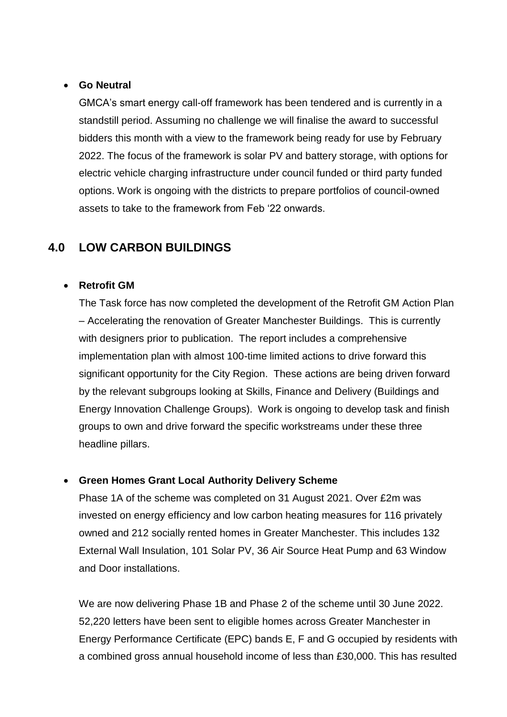#### **Go Neutral**

GMCA's smart energy call-off framework has been tendered and is currently in a standstill period. Assuming no challenge we will finalise the award to successful bidders this month with a view to the framework being ready for use by February 2022. The focus of the framework is solar PV and battery storage, with options for electric vehicle charging infrastructure under council funded or third party funded options. Work is ongoing with the districts to prepare portfolios of council-owned assets to take to the framework from Feb '22 onwards.

### **4.0 LOW CARBON BUILDINGS**

#### **Retrofit GM**

The Task force has now completed the development of the Retrofit GM Action Plan – Accelerating the renovation of Greater Manchester Buildings. This is currently with designers prior to publication. The report includes a comprehensive implementation plan with almost 100-time limited actions to drive forward this significant opportunity for the City Region. These actions are being driven forward by the relevant subgroups looking at Skills, Finance and Delivery (Buildings and Energy Innovation Challenge Groups). Work is ongoing to develop task and finish groups to own and drive forward the specific workstreams under these three headline pillars.

#### **Green Homes Grant Local Authority Delivery Scheme**

Phase 1A of the scheme was completed on 31 August 2021. Over £2m was invested on energy efficiency and low carbon heating measures for 116 privately owned and 212 socially rented homes in Greater Manchester. This includes 132 External Wall Insulation, 101 Solar PV, 36 Air Source Heat Pump and 63 Window and Door installations.

We are now delivering Phase 1B and Phase 2 of the scheme until 30 June 2022. 52,220 letters have been sent to eligible homes across Greater Manchester in Energy Performance Certificate (EPC) bands E, F and G occupied by residents with a combined gross annual household income of less than £30,000. This has resulted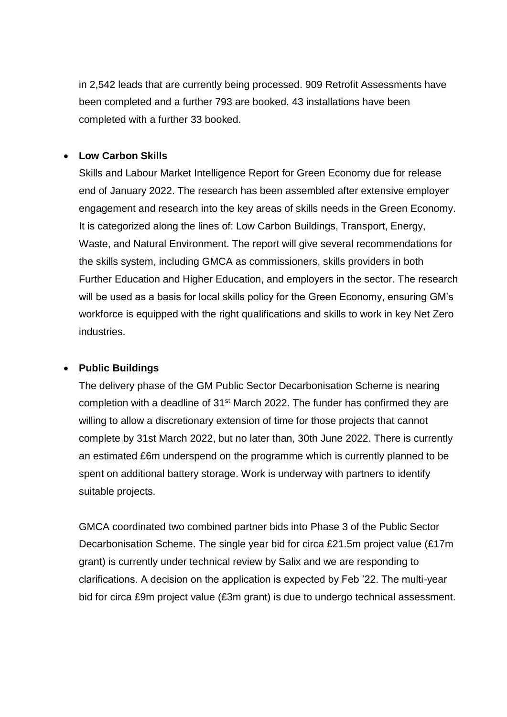in 2,542 leads that are currently being processed. 909 Retrofit Assessments have been completed and a further 793 are booked. 43 installations have been completed with a further 33 booked.

#### **Low Carbon Skills**

Skills and Labour Market Intelligence Report for Green Economy due for release end of January 2022. The research has been assembled after extensive employer engagement and research into the key areas of skills needs in the Green Economy. It is categorized along the lines of: Low Carbon Buildings, Transport, Energy, Waste, and Natural Environment. The report will give several recommendations for the skills system, including GMCA as commissioners, skills providers in both Further Education and Higher Education, and employers in the sector. The research will be used as a basis for local skills policy for the Green Economy, ensuring GM's workforce is equipped with the right qualifications and skills to work in key Net Zero industries.

#### **Public Buildings**

The delivery phase of the GM Public Sector Decarbonisation Scheme is nearing completion with a deadline of 31<sup>st</sup> March 2022. The funder has confirmed they are willing to allow a discretionary extension of time for those projects that cannot complete by 31st March 2022, but no later than, 30th June 2022. There is currently an estimated £6m underspend on the programme which is currently planned to be spent on additional battery storage. Work is underway with partners to identify suitable projects.

GMCA coordinated two combined partner bids into Phase 3 of the Public Sector Decarbonisation Scheme. The single year bid for circa £21.5m project value (£17m grant) is currently under technical review by Salix and we are responding to clarifications. A decision on the application is expected by Feb '22. The multi-year bid for circa £9m project value (£3m grant) is due to undergo technical assessment.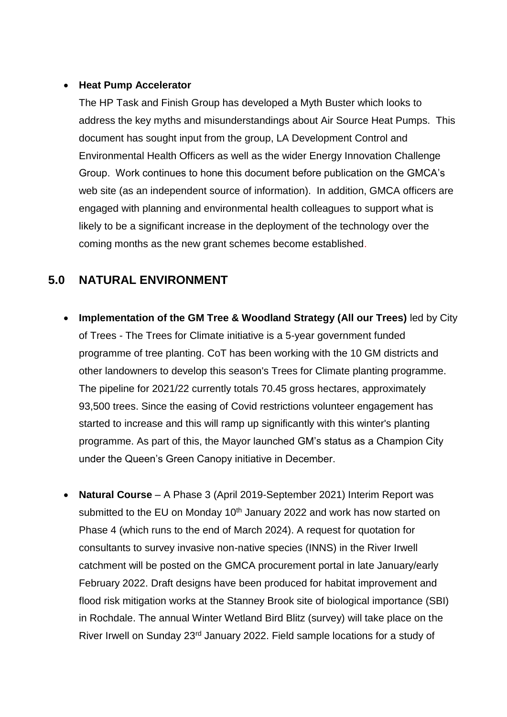#### **Heat Pump Accelerator**

The HP Task and Finish Group has developed a Myth Buster which looks to address the key myths and misunderstandings about Air Source Heat Pumps. This document has sought input from the group, LA Development Control and Environmental Health Officers as well as the wider Energy Innovation Challenge Group. Work continues to hone this document before publication on the GMCA's web site (as an independent source of information). In addition, GMCA officers are engaged with planning and environmental health colleagues to support what is likely to be a significant increase in the deployment of the technology over the coming months as the new grant schemes become established.

### **5.0 NATURAL ENVIRONMENT**

- **Implementation of the GM Tree & Woodland Strategy (All our Trees)** led by City of Trees - The Trees for Climate initiative is a 5-year government funded programme of tree planting. CoT has been working with the 10 GM districts and other landowners to develop this season's Trees for Climate planting programme. The pipeline for 2021/22 currently totals 70.45 gross hectares, approximately 93,500 trees. Since the easing of Covid restrictions volunteer engagement has started to increase and this will ramp up significantly with this winter's planting programme. As part of this, the Mayor launched GM's status as a Champion City under the Queen's Green Canopy initiative in December.
- **Natural Course** A Phase 3 (April 2019-September 2021) Interim Report was submitted to the EU on Monday  $10<sup>th</sup>$  January 2022 and work has now started on Phase 4 (which runs to the end of March 2024). A request for quotation for consultants to survey invasive non-native species (INNS) in the River Irwell catchment will be posted on the GMCA procurement portal in late January/early February 2022. Draft designs have been produced for habitat improvement and flood risk mitigation works at the Stanney Brook site of biological importance (SBI) in Rochdale. The annual Winter Wetland Bird Blitz (survey) will take place on the River Irwell on Sunday 23rd January 2022. Field sample locations for a study of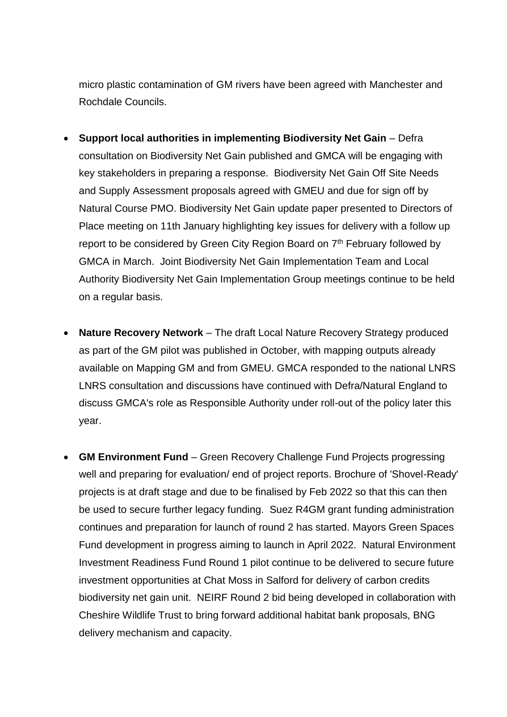micro plastic contamination of GM rivers have been agreed with Manchester and Rochdale Councils.

- **Support local authorities in implementing Biodiversity Net Gain** Defra consultation on Biodiversity Net Gain published and GMCA will be engaging with key stakeholders in preparing a response. Biodiversity Net Gain Off Site Needs and Supply Assessment proposals agreed with GMEU and due for sign off by Natural Course PMO. Biodiversity Net Gain update paper presented to Directors of Place meeting on 11th January highlighting key issues for delivery with a follow up report to be considered by Green City Region Board on  $7<sup>th</sup>$  February followed by GMCA in March. Joint Biodiversity Net Gain Implementation Team and Local Authority Biodiversity Net Gain Implementation Group meetings continue to be held on a regular basis.
- **Nature Recovery Network** The draft Local Nature Recovery Strategy produced as part of the GM pilot was published in October, with mapping outputs already available on Mapping GM and from GMEU. GMCA responded to the national LNRS LNRS consultation and discussions have continued with Defra/Natural England to discuss GMCA's role as Responsible Authority under roll-out of the policy later this year.
- **GM Environment Fund** Green Recovery Challenge Fund Projects progressing well and preparing for evaluation/ end of project reports. Brochure of 'Shovel-Ready' projects is at draft stage and due to be finalised by Feb 2022 so that this can then be used to secure further legacy funding. Suez R4GM grant funding administration continues and preparation for launch of round 2 has started. Mayors Green Spaces Fund development in progress aiming to launch in April 2022. Natural Environment Investment Readiness Fund Round 1 pilot continue to be delivered to secure future investment opportunities at Chat Moss in Salford for delivery of carbon credits biodiversity net gain unit. NEIRF Round 2 bid being developed in collaboration with Cheshire Wildlife Trust to bring forward additional habitat bank proposals, BNG delivery mechanism and capacity.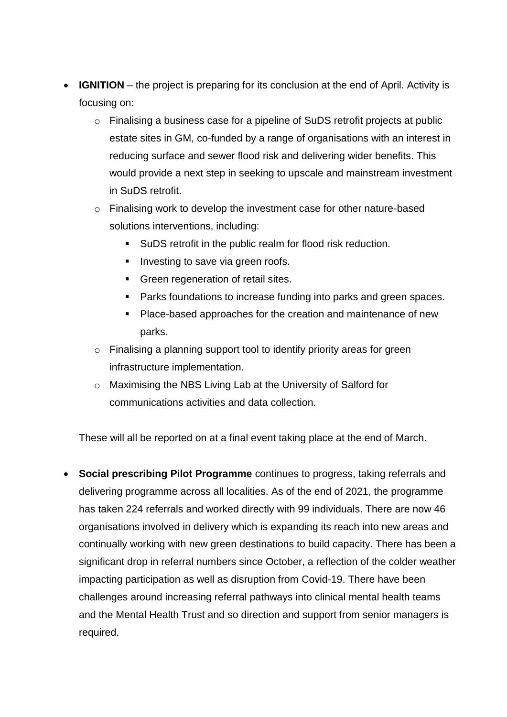- **IGNITION** the project is preparing for its conclusion at the end of April. Activity is focusing on:
	- o Finalising a business case for a pipeline of SuDS retrofit projects at public estate sites in GM, co-funded by a range of organisations with an interest in reducing surface and sewer flood risk and delivering wider benefits. This would provide a next step in seeking to upscale and mainstream investment in SuDS retrofit.
	- o Finalising work to develop the investment case for other nature-based solutions interventions, including:
		- SuDS retrofit in the public realm for flood risk reduction.
		- **Investing to save via green roofs.**
		- **Green regeneration of retail sites.**
		- **Parks foundations to increase funding into parks and green spaces.**
		- **Place-based approaches for the creation and maintenance of new** parks.
	- o Finalising a planning support tool to identify priority areas for green infrastructure implementation.
	- o Maximising the NBS Living Lab at the University of Salford for communications activities and data collection.

These will all be reported on at a final event taking place at the end of March.

 **Social prescribing Pilot Programme** continues to progress, taking referrals and delivering programme across all localities. As of the end of 2021, the programme has taken 224 referrals and worked directly with 99 individuals. There are now 46 organisations involved in delivery which is expanding its reach into new areas and continually working with new green destinations to build capacity. There has been a significant drop in referral numbers since October, a reflection of the colder weather impacting participation as well as disruption from Covid-19. There have been challenges around increasing referral pathways into clinical mental health teams and the Mental Health Trust and so direction and support from senior managers is required.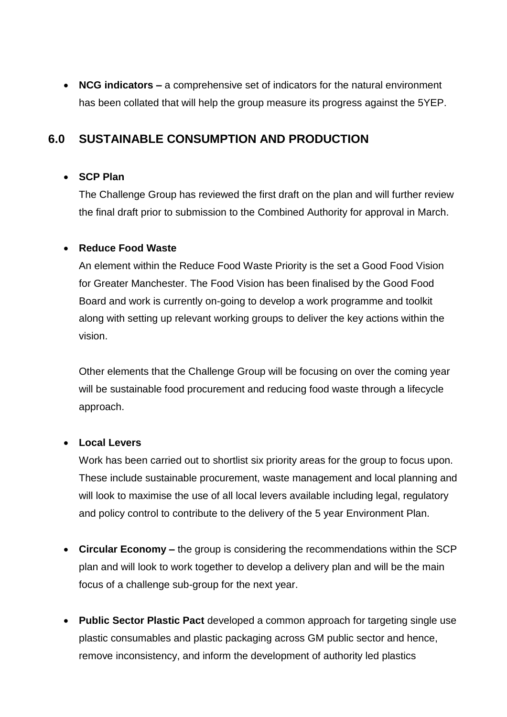**NCG indicators –** a comprehensive set of indicators for the natural environment has been collated that will help the group measure its progress against the 5YEP.

### **6.0 SUSTAINABLE CONSUMPTION AND PRODUCTION**

#### **SCP Plan**

The Challenge Group has reviewed the first draft on the plan and will further review the final draft prior to submission to the Combined Authority for approval in March.

#### **Reduce Food Waste**

An element within the Reduce Food Waste Priority is the set a Good Food Vision for Greater Manchester. The Food Vision has been finalised by the Good Food Board and work is currently on-going to develop a work programme and toolkit along with setting up relevant working groups to deliver the key actions within the vision.

Other elements that the Challenge Group will be focusing on over the coming year will be sustainable food procurement and reducing food waste through a lifecycle approach.

#### **Local Levers**

Work has been carried out to shortlist six priority areas for the group to focus upon. These include sustainable procurement, waste management and local planning and will look to maximise the use of all local levers available including legal, regulatory and policy control to contribute to the delivery of the 5 year Environment Plan.

- **Circular Economy –** the group is considering the recommendations within the SCP plan and will look to work together to develop a delivery plan and will be the main focus of a challenge sub-group for the next year.
- **Public Sector Plastic Pact** developed a common approach for targeting single use plastic consumables and plastic packaging across GM public sector and hence, remove inconsistency, and inform the development of authority led plastics